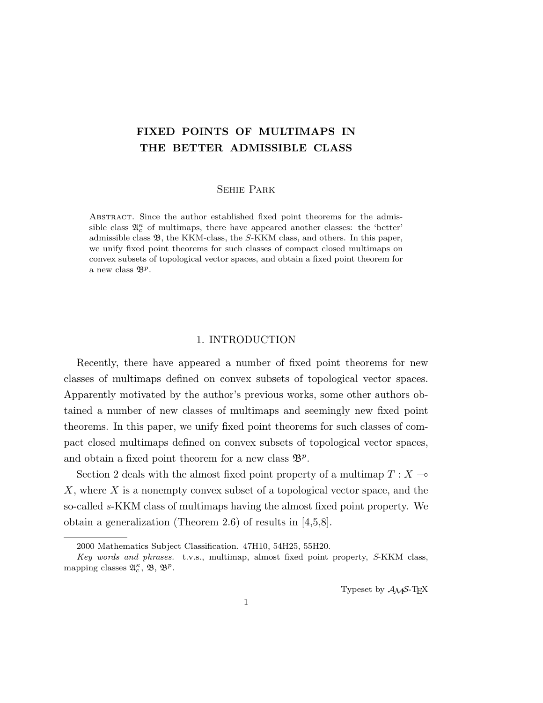# FIXED POINTS OF MULTIMAPS IN THE BETTER ADMISSIBLE CLASS

# Sehie Park

Abstract. Since the author established fixed point theorems for the admissible class  $\mathfrak{A}^{\kappa}_{c}$  of multimaps, there have appeared another classes: the 'better' admissible class  $\mathfrak{B}$ , the KKM-class, the S-KKM class, and others. In this paper, we unify fixed point theorems for such classes of compact closed multimaps on convex subsets of topological vector spaces, and obtain a fixed point theorem for a new class  $\mathfrak{B}^p$ .

## 1. INTRODUCTION

Recently, there have appeared a number of fixed point theorems for new classes of multimaps defined on convex subsets of topological vector spaces. Apparently motivated by the author's previous works, some other authors obtained a number of new classes of multimaps and seemingly new fixed point theorems. In this paper, we unify fixed point theorems for such classes of compact closed multimaps defined on convex subsets of topological vector spaces, and obtain a fixed point theorem for a new class  $\mathfrak{B}^p$ .

Section 2 deals with the almost fixed point property of a multimap  $T : X \rightarrow$ X, where X is a nonempty convex subset of a topological vector space, and the so-called s-KKM class of multimaps having the almost fixed point property. We obtain a generalization (Theorem 2.6) of results in [4,5,8].

Typeset by  $\mathcal{A}_{\mathcal{M}}\mathcal{S}\text{-}\mathrm{Tr}X$ 

<sup>2000</sup> Mathematics Subject Classification. 47H10, 54H25, 55H20.

Key words and phrases. t.v.s., multimap, almost fixed point property, S-KKM class, mapping classes  $\mathfrak{A}_{c}^{\kappa}, \mathfrak{B}, \mathfrak{B}^{p}$ .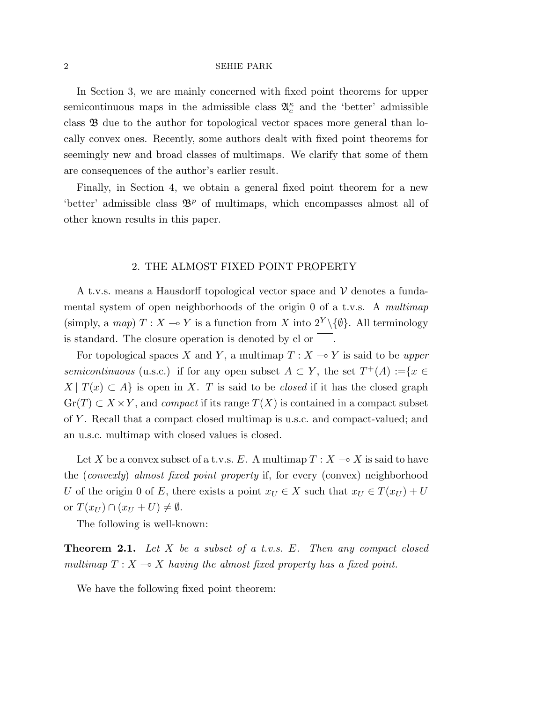In Section 3, we are mainly concerned with fixed point theorems for upper semicontinuous maps in the admissible class  $\mathfrak{A}_{c}^{\kappa}$  and the 'better' admissible class B due to the author for topological vector spaces more general than locally convex ones. Recently, some authors dealt with fixed point theorems for seemingly new and broad classes of multimaps. We clarify that some of them are consequences of the author's earlier result.

Finally, in Section 4, we obtain a general fixed point theorem for a new 'better' admissible class  $\mathfrak{B}^p$  of multimaps, which encompasses almost all of other known results in this paper.

## 2. THE ALMOST FIXED POINT PROPERTY

A t.v.s. means a Hausdorff topological vector space and  $\mathcal V$  denotes a fundamental system of open neighborhoods of the origin 0 of a t.v.s. A multimap (simply, a map)  $T : X \to Y$  is a function from X into  $2^Y \setminus \{\emptyset\}$ . All terminology is standard. The closure operation is denoted by cl or

For topological spaces X and Y, a multimap  $T : X \longrightarrow Y$  is said to be upper semicontinuous (u.s.c.) if for any open subset  $A \subset Y$ , the set  $T^+(A) := \{x \in Y : |f(x)| \leq R\}$  $X | T(x) \subset A$  is open in X. T is said to be *closed* if it has the closed graph  $\operatorname{Gr}(T) \subset X \times Y$ , and *compact* if its range  $T(X)$  is contained in a compact subset of Y . Recall that a compact closed multimap is u.s.c. and compact-valued; and an u.s.c. multimap with closed values is closed.

Let X be a convex subset of a t.v.s. E. A multimap  $T : X \longrightarrow X$  is said to have the (convexly) almost fixed point property if, for every (convex) neighborhood U of the origin 0 of E, there exists a point  $x_U \in X$  such that  $x_U \in T(x_U) + U$ or  $T(x_U) \cap (x_U + U) \neq \emptyset$ .

The following is well-known:

**Theorem 2.1.** Let X be a subset of a t.v.s. E. Then any compact closed multimap  $T : X \longrightarrow X$  having the almost fixed property has a fixed point.

We have the following fixed point theorem: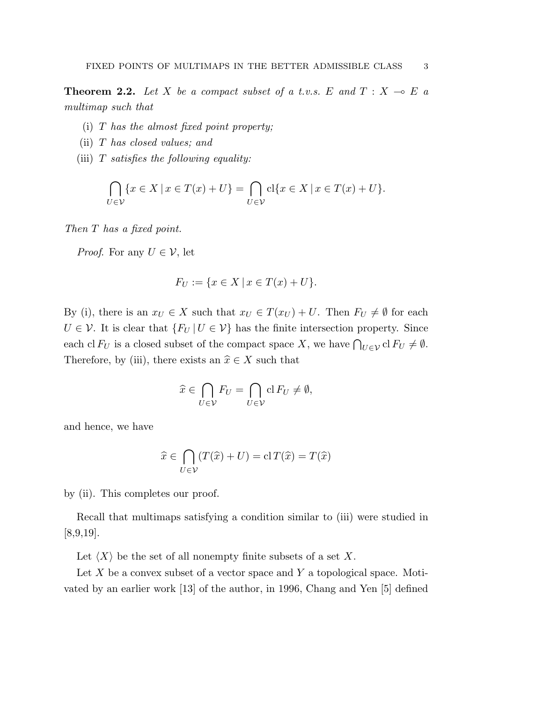**Theorem 2.2.** Let X be a compact subset of a t.v.s. E and  $T : X \multimap E$  a multimap such that

- (i)  $T$  has the almost fixed point property;
- (ii) T has closed values; and
- (iii)  $T$  satisfies the following equality:

$$
\bigcap_{U \in \mathcal{V}} \{x \in X \mid x \in T(x) + U\} = \bigcap_{U \in \mathcal{V}} \text{cl}\{x \in X \mid x \in T(x) + U\}.
$$

Then T has a fixed point.

*Proof.* For any  $U \in \mathcal{V}$ , let

$$
F_U := \{ x \in X \, | \, x \in T(x) + U \}.
$$

By (i), there is an  $x_U \in X$  such that  $x_U \in T(x_U) + U$ . Then  $F_U \neq \emptyset$  for each  $U \in \mathcal{V}$ . It is clear that  $\{F_U | U \in \mathcal{V}\}\$  has the finite intersection property. Since each cl  $F_U$  is a closed subset of the compact space X, we have  $\bigcap_{U \in \mathcal{V}} cl F_U \neq \emptyset$ . Therefore, by (iii), there exists an  $\hat{x} \in X$  such that

$$
\widehat{x} \in \bigcap_{U \in \mathcal{V}} F_U = \bigcap_{U \in \mathcal{V}} \mathrm{cl} \, F_U \neq \emptyset,
$$

and hence, we have

$$
\widehat{x} \in \bigcap_{U \in \mathcal{V}} (T(\widehat{x}) + U) = \mathrm{cl}\, T(\widehat{x}) = T(\widehat{x})
$$

by (ii). This completes our proof.

Recall that multimaps satisfying a condition similar to (iii) were studied in [8,9,19].

Let  $\langle X \rangle$  be the set of all nonempty finite subsets of a set X.

Let  $X$  be a convex subset of a vector space and  $Y$  a topological space. Motivated by an earlier work [13] of the author, in 1996, Chang and Yen [5] defined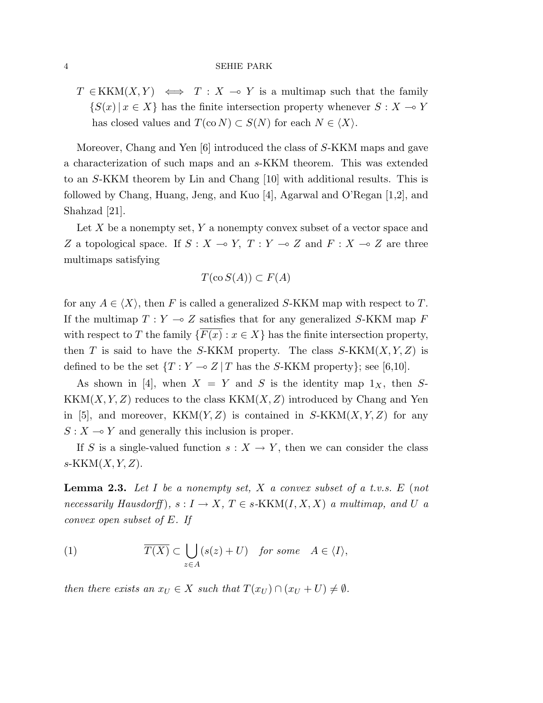$T \in KKM(X,Y) \iff T : X \to Y$  is a multimap such that the family  $\{S(x) | x \in X\}$  has the finite intersection property whenever  $S: X \to Y$ has closed values and  $T(\text{co } N) \subset S(N)$  for each  $N \in \langle X \rangle$ .

Moreover, Chang and Yen [6] introduced the class of S-KKM maps and gave a characterization of such maps and an s-KKM theorem. This was extended to an S-KKM theorem by Lin and Chang [10] with additional results. This is followed by Chang, Huang, Jeng, and Kuo [4], Agarwal and O'Regan [1,2], and Shahzad [21].

Let  $X$  be a nonempty set,  $Y$  a nonempty convex subset of a vector space and Z a topological space. If  $S : X \to Y$ ,  $T : Y \to Z$  and  $F : X \to Z$  are three multimaps satisfying

$$
T(\text{co } S(A)) \subset F(A)
$$

for any  $A \in \langle X \rangle$ , then F is called a generalized S-KKM map with respect to T. If the multimap  $T : Y \multimap Z$  satisfies that for any generalized S-KKM map F with respect to T the family  $\{F(x) : x \in X\}$  has the finite intersection property, then T is said to have the S-KKM property. The class  $S-KKM(X, Y, Z)$  is defined to be the set  $\{T : Y \multimap Z \mid T \text{ has the } S\text{-KKM property}\};$  see [6,10].

As shown in [4], when  $X = Y$  and S is the identity map  $1_X$ , then S- $KKM(X, Y, Z)$  reduces to the class  $KKM(X, Z)$  introduced by Chang and Yen in [5], and moreover,  $KKM(Y, Z)$  is contained in  $S-KKM(X, Y, Z)$  for any  $S: X \longrightarrow Y$  and generally this inclusion is proper.

If S is a single-valued function  $s: X \to Y$ , then we can consider the class  $s-KKM(X, Y, Z).$ 

**Lemma 2.3.** Let I be a nonempty set, X a convex subset of a t.v.s.  $E$  (not necessarily Hausdorff),  $s: I \to X$ ,  $T \in s-KKM(I, X, X)$  a multimap, and U a convex open subset of E. If

(1) 
$$
\overline{T(X)} \subset \bigcup_{z \in A} (s(z) + U) \quad \text{for some} \quad A \in \langle I \rangle,
$$

then there exists an  $x_U \in X$  such that  $T(x_U) \cap (x_U + U) \neq \emptyset$ .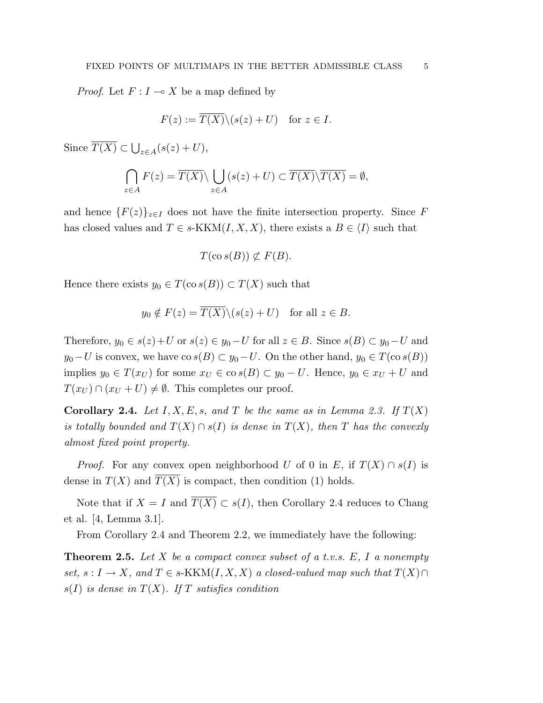*Proof.* Let  $F: I \to X$  be a map defined by

$$
F(z) := \overline{T(X)} \setminus (s(z) + U) \quad \text{for } z \in I.
$$

Since  $T(X) \subset$ S  $z\in A(s(z) + U),$ 

$$
\bigcap_{z \in A} F(z) = \overline{T(X)} \setminus \bigcup_{z \in A} (s(z) + U) \subset \overline{T(X)} \setminus \overline{T(X)} = \emptyset,
$$

and hence  ${F(z)}_{z\in I}$  does not have the finite intersection property. Since F has closed values and  $T \in s\text{-KKM}(I, X, X)$ , there exists a  $B \in \langle I \rangle$  such that

$$
T(\cos(B)) \not\subset F(B).
$$

Hence there exists  $y_0 \in T(\cos(B)) \subset T(X)$  such that

$$
y_0 \notin F(z) = \overline{T(X)} \setminus (s(z) + U)
$$
 for all  $z \in B$ .

Therefore,  $y_0 \in s(z)+U$  or  $s(z) \in y_0-U$  for all  $z \in B$ . Since  $s(B) \subset y_0-U$  and  $y_0-U$  is convex, we have co  $s(B) \subset y_0-U$ . On the other hand,  $y_0 \in T(\cos(B))$ implies  $y_0 \in T(x_U)$  for some  $x_U \in \text{co } s(B) \subset y_0 - U$ . Hence,  $y_0 \in x_U + U$  and  $T(x_U) \cap (x_U + U) \neq \emptyset$ . This completes our proof.

**Corollary 2.4.** Let  $I, X, E, s$ , and T be the same as in Lemma 2.3. If  $T(X)$ is totally bounded and  $T(X) \cap s(I)$  is dense in  $T(X)$ , then T has the convexly almost fixed point property.

*Proof.* For any convex open neighborhood U of 0 in E, if  $T(X) \cap s(I)$  is dense in  $T(X)$  and  $T(X)$  is compact, then condition (1) holds.

Note that if  $X = I$  and  $\overline{T(X)} \subset s(I)$ , then Corollary 2.4 reduces to Chang et al. [4, Lemma 3.1].

From Corollary 2.4 and Theorem 2.2, we immediately have the following:

**Theorem 2.5.** Let X be a compact convex subset of a t.v.s.  $E$ , I a nonempty set,  $s: I \to X$ , and  $T \in s\text{-KKM}(I, X, X)$  a closed-valued map such that  $T(X) \cap$  $s(I)$  is dense in  $T(X)$ . If T satisfies condition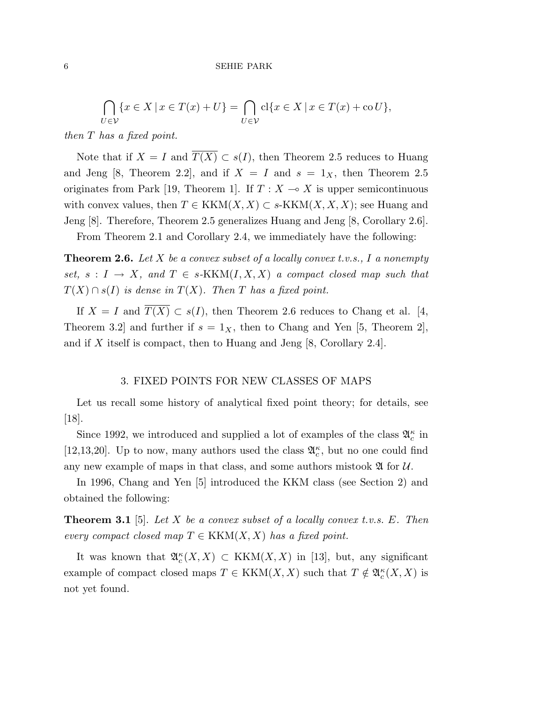$$
\bigcap_{U \in \mathcal{V}} \{x \in X \mid x \in T(x) + U\} = \bigcap_{U \in \mathcal{V}} \text{cl}\{x \in X \mid x \in T(x) + \text{co}\,U\},\
$$

then T has a fixed point.

Note that if  $X = I$  and  $\overline{T(X)} \subset s(I)$ , then Theorem 2.5 reduces to Huang and Jeng [8, Theorem 2.2], and if  $X = I$  and  $s = 1<sub>X</sub>$ , then Theorem 2.5 originates from Park [19, Theorem 1]. If  $T : X \to X$  is upper semicontinuous with convex values, then  $T \in KKM(X,X) \subset s-KKM(X,X,X);$  see Huang and Jeng [8]. Therefore, Theorem 2.5 generalizes Huang and Jeng [8, Corollary 2.6].

From Theorem 2.1 and Corollary 2.4, we immediately have the following:

**Theorem 2.6.** Let X be a convex subset of a locally convex t.v.s., I a nonempty set,  $s: I \to X$ , and  $T \in s-KKM(I,X,X)$  a compact closed map such that  $T(X) \cap s(I)$  is dense in  $T(X)$ . Then T has a fixed point.

If  $X = I$  and  $\overline{T(X)} \subset s(I)$ , then Theorem 2.6 reduces to Chang et al. [4, Theorem 3.2 and further if  $s = 1_X$ , then to Chang and Yen [5, Theorem 2], and if X itself is compact, then to Huang and Jeng  $[8, Corollary 2.4]$ .

## 3. FIXED POINTS FOR NEW CLASSES OF MAPS

Let us recall some history of analytical fixed point theory; for details, see [18].

Since 1992, we introduced and supplied a lot of examples of the class  $\mathfrak{A}_{c}^{\kappa}$  in [12,13,20]. Up to now, many authors used the class  $\mathfrak{A}_{c}^{\kappa}$ , but no one could find any new example of maps in that class, and some authors mistook  $\mathfrak A$  for  $\mathcal U$ .

In 1996, Chang and Yen [5] introduced the KKM class (see Section 2) and obtained the following:

**Theorem 3.1** [5]. Let X be a convex subset of a locally convex t.v.s. E. Then every compact closed map  $T \in KKM(X,X)$  has a fixed point.

It was known that  $\mathfrak{A}_{c}^{\kappa}(X,X) \subset \text{KKM}(X,X)$  in [13], but, any significant example of compact closed maps  $T \in KKM(X,X)$  such that  $T \notin \mathfrak{A}_{c}^{\kappa}(X,X)$  is not yet found.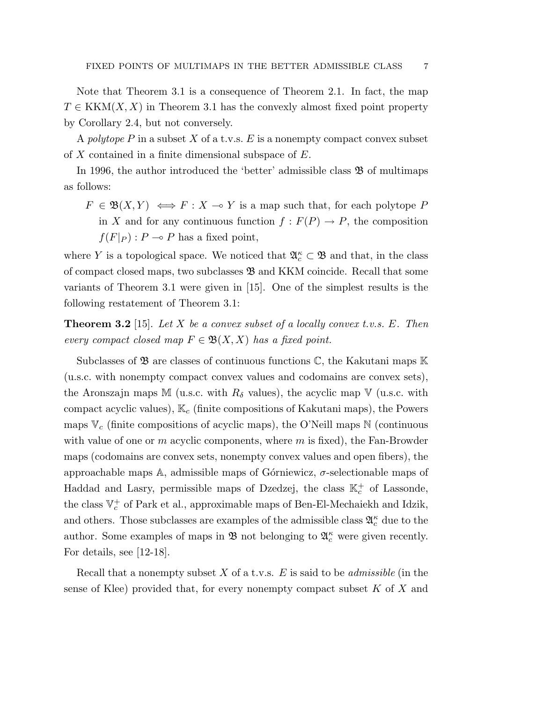Note that Theorem 3.1 is a consequence of Theorem 2.1. In fact, the map  $T \in KKM(X,X)$  in Theorem 3.1 has the convexly almost fixed point property by Corollary 2.4, but not conversely.

A polytope P in a subset X of a t.v.s. E is a nonempty compact convex subset of X contained in a finite dimensional subspace of  $E$ .

In 1996, the author introduced the 'better' admissible class  $\mathfrak{B}$  of multimaps as follows:

 $F \in \mathfrak{B}(X, Y) \iff F : X \to Y$  is a map such that, for each polytope P in X and for any continuous function  $f : F(P) \to P$ , the composition  $f(F|_P)$ :  $P \rightharpoonup P$  has a fixed point,

where Y is a topological space. We noticed that  $\mathfrak{A}_{c}^{\kappa} \subset \mathfrak{B}$  and that, in the class of compact closed maps, two subclasses B and KKM coincide. Recall that some variants of Theorem 3.1 were given in [15]. One of the simplest results is the following restatement of Theorem 3.1:

**Theorem 3.2** [15]. Let X be a convex subset of a locally convex t.v.s. E. Then every compact closed map  $F \in \mathfrak{B}(X,X)$  has a fixed point.

Subclasses of  $\mathfrak{B}$  are classes of continuous functions  $\mathbb{C}$ , the Kakutani maps  $\mathbb{K}$ (u.s.c. with nonempty compact convex values and codomains are convex sets), the Aronszajn maps M (u.s.c. with  $R_{\delta}$  values), the acyclic map V (u.s.c. with compact acyclic values),  $\mathbb{K}_c$  (finite compositions of Kakutani maps), the Powers maps  $\mathbb{V}_c$  (finite compositions of acyclic maps), the O'Neill maps  $\mathbb{N}$  (continuous with value of one or  $m$  acyclic components, where  $m$  is fixed), the Fan-Browder maps (codomains are convex sets, nonempty convex values and open fibers), the approachable maps A, admissible maps of Górniewicz,  $\sigma$ -selectionable maps of Haddad and Lasry, permissible maps of Dzedzej, the class  $\mathbb{K}_c^+$  of Lassonde, the class  $\mathbb{V}^+_c$  of Park et al., approximable maps of Ben-El-Mechaiekh and Idzik, and others. Those subclasses are examples of the admissible class  $\mathfrak A^{\kappa}_c$  due to the author. Some examples of maps in  $\mathfrak{B}$  not belonging to  $\mathfrak{A}_{c}^{\kappa}$  were given recently. For details, see [12-18].

Recall that a nonempty subset X of a t.v.s.  $E$  is said to be *admissible* (in the sense of Klee) provided that, for every nonempty compact subset  $K$  of  $X$  and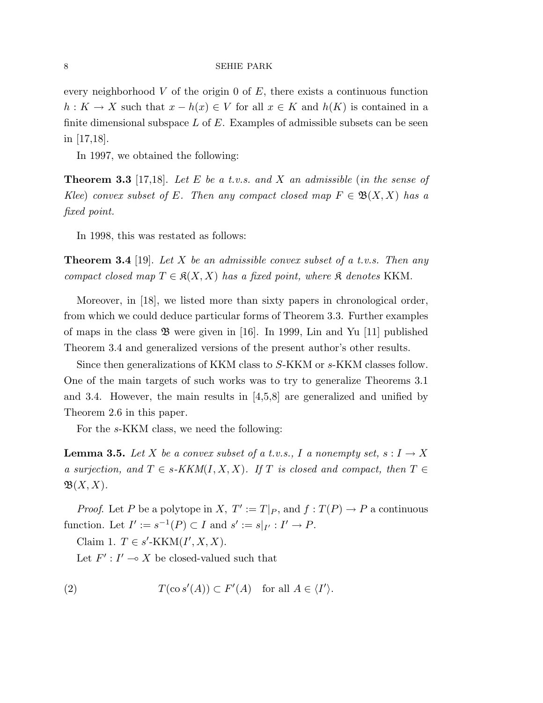every neighborhood V of the origin 0 of  $E$ , there exists a continuous function  $h: K \to X$  such that  $x - h(x) \in V$  for all  $x \in K$  and  $h(K)$  is contained in a finite dimensional subspace  $L$  of  $E$ . Examples of admissible subsets can be seen in [17,18].

In 1997, we obtained the following:

**Theorem 3.3** [17,18]. Let E be a t.v.s. and X an admissible (in the sense of Klee) convex subset of E. Then any compact closed map  $F \in \mathfrak{B}(X,X)$  has a fixed point.

In 1998, this was restated as follows:

**Theorem 3.4** [19]. Let X be an admissible convex subset of a t.v.s. Then any compact closed map  $T \in \mathfrak{K}(X,X)$  has a fixed point, where  $\mathfrak K$  denotes KKM.

Moreover, in [18], we listed more than sixty papers in chronological order, from which we could deduce particular forms of Theorem 3.3. Further examples of maps in the class  $\mathfrak{B}$  were given in [16]. In 1999, Lin and Yu [11] published Theorem 3.4 and generalized versions of the present author's other results.

Since then generalizations of KKM class to S-KKM or s-KKM classes follow. One of the main targets of such works was to try to generalize Theorems 3.1 and 3.4. However, the main results in  $[4,5,8]$  are generalized and unified by Theorem 2.6 in this paper.

For the s-KKM class, we need the following:

**Lemma 3.5.** Let X be a convex subset of a t.v.s., I a nonempty set,  $s: I \rightarrow X$ a surjection, and  $T \in s-KKM(I, X, X)$ . If T is closed and compact, then  $T \in$  $\mathfrak{B}(X,X)$ .

*Proof.* Let P be a polytope in X,  $T' := T|_P$ , and  $f : T(P) \to P$  a continuous function. Let  $I' := s^{-1}(P) \subset I$  and  $s' := s|_{I'} : I' \to P$ .

Claim 1.  $T \in s'$ -KKM $(I', X, X)$ .

Let  $F' : I' \to X$  be closed-valued such that

(2) 
$$
T(\cos'(A)) \subset F'(A) \text{ for all } A \in \langle I' \rangle.
$$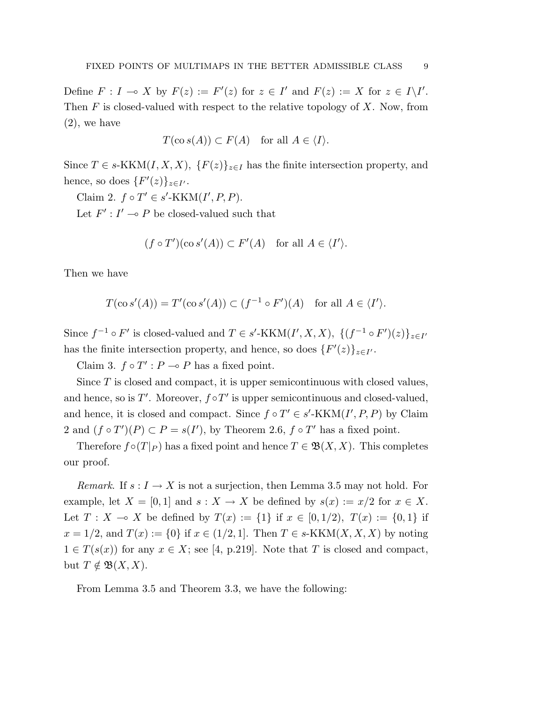Define  $F: I \to X$  by  $F(z) := F'(z)$  for  $z \in I'$  and  $F(z) := X$  for  $z \in I\backslash I'.$ Then  $F$  is closed-valued with respect to the relative topology of  $X$ . Now, from (2), we have

$$
T(\cos(A)) \subset F(A) \quad \text{for all } A \in \langle I \rangle.
$$

Since  $T \in s\text{-KKM}(I, X, X), \{F(z)\}_{z\in I}$  has the finite intersection property, and hence, so does  $\{F'(z)\}_{z \in I'}$ .

Claim 2.  $f \circ T' \in s'$ -KKM $(I', P, P)$ .

Let  $F' : I' \to P$  be closed-valued such that

$$
(f \circ T')(\cos'(A)) \subset F'(A)
$$
 for all  $A \in \langle I' \rangle$ .

Then we have

$$
T(\cos'(A)) = T'(\cos'(A)) \subset (f^{-1} \circ F')(A) \text{ for all } A \in \langle I' \rangle.
$$

Since  $f^{-1} \circ F'$  is closed-valued and  $T \in s'$ -KKM $(I', X, X)$ ,  $\{(f^{-1} \circ F')(z)\}_{z \in I'}$ has the finite intersection property, and hence, so does  $\{F'(z)\}_{z \in I'}$ .

Claim 3.  $f \circ T' : P \to P$  has a fixed point.

Since  $T$  is closed and compact, it is upper semicontinuous with closed values, and hence, so is  $T'$ . Moreover,  $f \circ T'$  is upper semicontinuous and closed-valued, and hence, it is closed and compact. Since  $f \circ T' \in s'$ -KKM $(I', P, P)$  by Claim 2 and  $(f \circ T')(P) \subset P = s(I')$ , by Theorem 2.6,  $f \circ T'$  has a fixed point.

Therefore  $f \circ (T|_P)$  has a fixed point and hence  $T \in \mathfrak{B}(X,X)$ . This completes our proof.

*Remark.* If  $s: I \to X$  is not a surjection, then Lemma 3.5 may not hold. For example, let  $X = [0, 1]$  and  $s : X \to X$  be defined by  $s(x) := x/2$  for  $x \in X$ . Let  $T : X \to X$  be defined by  $T(x) := \{1\}$  if  $x \in [0, 1/2), T(x) := \{0, 1\}$  if  $x = 1/2$ , and  $T(x) := \{0\}$  if  $x \in (1/2, 1]$ . Then  $T \in s\text{-KKM}(X, X, X)$  by noting  $1 \in T(s(x))$  for any  $x \in X$ ; see [4, p.219]. Note that T is closed and compact, but  $T \notin \mathfrak{B}(X, X)$ .

From Lemma 3.5 and Theorem 3.3, we have the following: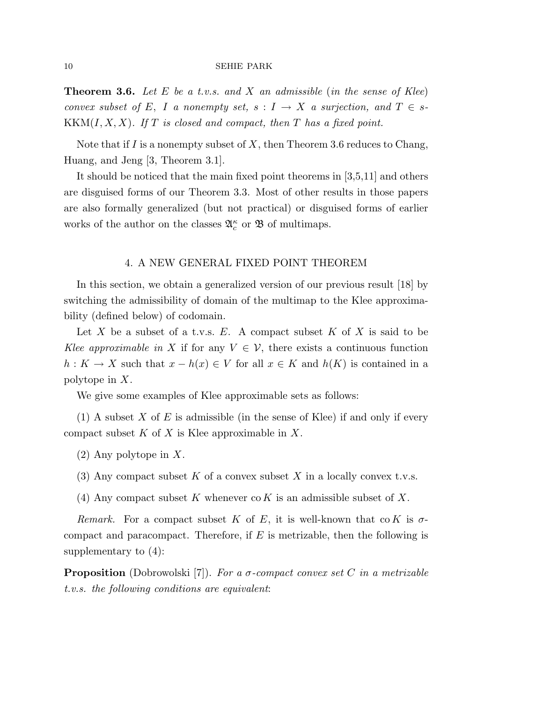**Theorem 3.6.** Let E be a t.v.s. and X an admissible (in the sense of Klee) convex subset of E, I a nonempty set,  $s: I \to X$  a surjection, and  $T \in s$ - $KKM(I, X, X)$ . If T is closed and compact, then T has a fixed point.

Note that if I is a nonempty subset of X, then Theorem 3.6 reduces to Chang, Huang, and Jeng [3, Theorem 3.1].

It should be noticed that the main fixed point theorems in [3,5,11] and others are disguised forms of our Theorem 3.3. Most of other results in those papers are also formally generalized (but not practical) or disguised forms of earlier works of the author on the classes  $\mathfrak{A}_c^{\kappa}$  or  $\mathfrak B$  of multimaps.

## 4. A NEW GENERAL FIXED POINT THEOREM

In this section, we obtain a generalized version of our previous result [18] by switching the admissibility of domain of the multimap to the Klee approximability (defined below) of codomain.

Let X be a subset of a t.v.s.  $E$ . A compact subset  $K$  of X is said to be Klee approximable in X if for any  $V \in \mathcal{V}$ , there exists a continuous function  $h: K \to X$  such that  $x - h(x) \in V$  for all  $x \in K$  and  $h(K)$  is contained in a polytope in X.

We give some examples of Klee approximable sets as follows:

(1) A subset X of E is admissible (in the sense of Klee) if and only if every compact subset  $K$  of  $X$  is Klee approximable in  $X$ .

- (2) Any polytope in X.
- (3) Any compact subset K of a convex subset X in a locally convex t.v.s.
- (4) Any compact subset K whenever  $\text{co } K$  is an admissible subset of X.

Remark. For a compact subset K of E, it is well-known that co K is  $\sigma$ compact and paracompact. Therefore, if  $E$  is metrizable, then the following is supplementary to (4):

**Proposition** (Dobrowolski [7]). For a  $\sigma$ -compact convex set C in a metrizable t.v.s. the following conditions are equivalent: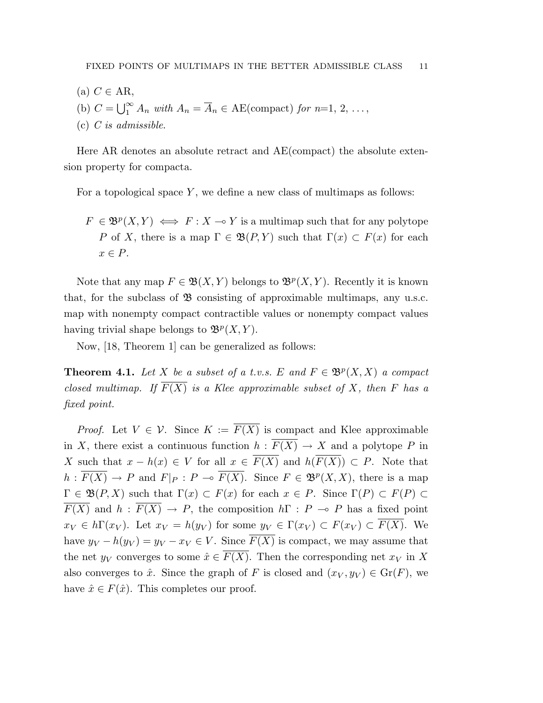$(a)$   $C \in AR$ , (b)  $C = \bigcup_{1}^{\infty}$  $\sum_{1}^{\infty} A_n$  with  $A_n = \overline{A}_n \in \text{AE}(\text{compact})$  for  $n=1, 2, \ldots,$ (c) C is admissible.

Here AR denotes an absolute retract and AE(compact) the absolute extension property for compacta.

For a topological space  $Y$ , we define a new class of multimaps as follows:

 $F \in \mathfrak{B}^p(X,Y) \iff F : X \to Y$  is a multimap such that for any polytope P of X, there is a map  $\Gamma \in \mathfrak{B}(P, Y)$  such that  $\Gamma(x) \subset F(x)$  for each  $x \in P$ .

Note that any map  $F \in \mathfrak{B}(X,Y)$  belongs to  $\mathfrak{B}^p(X,Y)$ . Recently it is known that, for the subclass of  $\mathfrak{B}$  consisting of approximable multimaps, any u.s.c. map with nonempty compact contractible values or nonempty compact values having trivial shape belongs to  $\mathfrak{B}^p(X,Y)$ .

Now, [18, Theorem 1] can be generalized as follows:

**Theorem 4.1.** Let X be a subset of a t.v.s. E and  $F \in \mathfrak{B}^p(X,X)$  a compact closed multimap. If  $\overline{F(X)}$  is a Klee approximable subset of X, then F has a fixed point.

*Proof.* Let  $V \in \mathcal{V}$ . Since  $K := \overline{F(X)}$  is compact and Klee approximable in X, there exist a continuous function  $h : \overline{F(X)} \to X$  and a polytope P in X such that  $x - h(x) \in V$  for all  $x \in \overline{F(X)}$  and  $h(\overline{F(X)}) \subset P$ . Note that  $h: \overline{F(X)} \to P$  and  $F|_P: P \to \overline{F(X)}$ . Since  $F \in \mathfrak{B}^p(X,X)$ , there is a map  $\Gamma \in \mathfrak{B}(P,X)$  such that  $\Gamma(x) \subset F(x)$  for each  $x \in P$ . Since  $\Gamma(P) \subset F(P)$  $\overline{F(X)}$  and  $h : \overline{F(X)} \to P$ , the composition  $h \Gamma : P \to P$  has a fixed point  $x_V \in h\Gamma(x_V)$ . Let  $x_V = h(y_V)$  for some  $y_V \in \Gamma(x_V) \subset F(x_V) \subset \overline{F(X)}$ . We have  $y_V - h(y_V) = y_V - x_V \in V$ . Since  $\overline{F(X)}$  is compact, we may assume that the net  $y_V$  converges to some  $\hat{x} \in \overline{F(X)}$ . Then the corresponding net  $x_V$  in X also converges to  $\hat{x}$ . Since the graph of F is closed and  $(x_V, y_V) \in \text{Gr}(F)$ , we have  $\hat{x} \in F(\hat{x})$ . This completes our proof.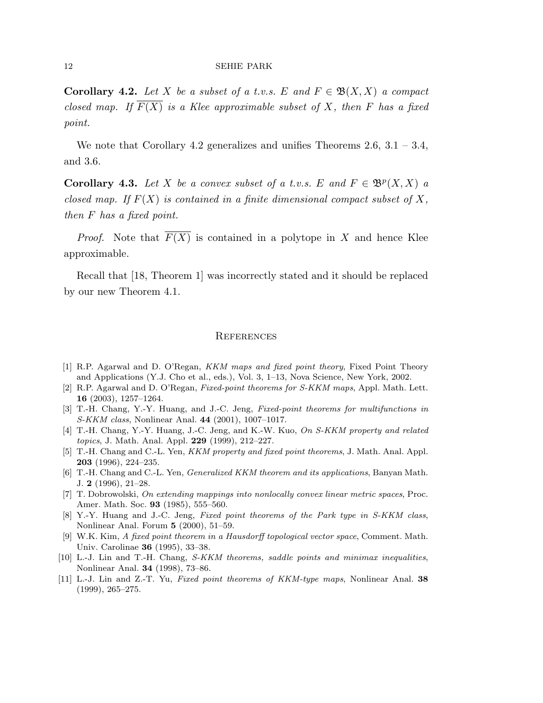**Corollary 4.2.** Let X be a subset of a t.v.s. E and  $F \in \mathfrak{B}(X,X)$  a compact closed map. If  $\overline{F(X)}$  is a Klee approximable subset of X, then F has a fixed point.

We note that Corollary 4.2 generalizes and unifies Theorems  $2.6, 3.1 - 3.4,$ and 3.6.

**Corollary 4.3.** Let X be a convex subset of a t.v.s. E and  $F \in \mathfrak{B}^p(X,X)$  a closed map. If  $F(X)$  is contained in a finite dimensional compact subset of X, then F has a fixed point.

*Proof.* Note that  $\overline{F(X)}$  is contained in a polytope in X and hence Klee approximable.

Recall that [18, Theorem 1] was incorrectly stated and it should be replaced by our new Theorem 4.1.

## **REFERENCES**

- [1] R.P. Agarwal and D. O'Regan, KKM maps and fixed point theory, Fixed Point Theory and Applications (Y.J. Cho et al., eds.), Vol. 3, 1–13, Nova Science, New York, 2002.
- [2] R.P. Agarwal and D. O'Regan, Fixed-point theorems for S-KKM maps, Appl. Math. Lett. 16 (2003), 1257–1264.
- [3] T.-H. Chang, Y.-Y. Huang, and J.-C. Jeng, Fixed-point theorems for multifunctions in S-KKM class, Nonlinear Anal. 44 (2001), 1007–1017.
- [4] T.-H. Chang, Y.-Y. Huang, J.-C. Jeng, and K.-W. Kuo, On S-KKM property and related topics, J. Math. Anal. Appl. 229 (1999), 212–227.
- [5] T.-H. Chang and C.-L. Yen, *KKM property and fixed point theorems*, J. Math. Anal. Appl. 203 (1996), 224–235.
- [6] T.-H. Chang and C.-L. Yen, Generalized KKM theorem and its applications, Banyan Math. J. 2 (1996), 21–28.
- [7] T. Dobrowolski, On extending mappings into nonlocally convex linear metric spaces, Proc. Amer. Math. Soc. 93 (1985), 555–560.
- [8] Y.-Y. Huang and J.-C. Jeng, Fixed point theorems of the Park type in S-KKM class, Nonlinear Anal. Forum 5 (2000), 51–59.
- [9] W.K. Kim, A fixed point theorem in a Hausdorff topological vector space, Comment. Math. Univ. Carolinae 36 (1995), 33–38.
- [10] L.-J. Lin and T.-H. Chang, S-KKM theorems, saddle points and minimax inequalities, Nonlinear Anal. 34 (1998), 73–86.
- [11] L.-J. Lin and Z.-T. Yu, Fixed point theorems of KKM-type maps, Nonlinear Anal. 38 (1999), 265–275.